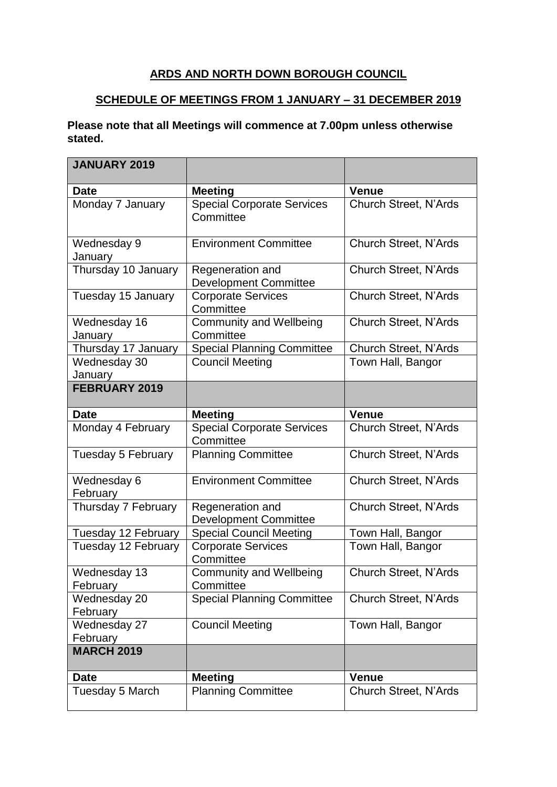## **ARDS AND NORTH DOWN BOROUGH COUNCIL**

## **SCHEDULE OF MEETINGS FROM 1 JANUARY – 31 DECEMBER 2019**

## **Please note that all Meetings will commence at 7.00pm unless otherwise stated.**

| <b>JANUARY 2019</b>      |                                                  |                              |
|--------------------------|--------------------------------------------------|------------------------------|
| <b>Date</b>              | <b>Meeting</b>                                   | <b>Venue</b>                 |
| Monday 7 January         | <b>Special Corporate Services</b><br>Committee   | <b>Church Street, N'Ards</b> |
| Wednesday 9<br>January   | <b>Environment Committee</b>                     | <b>Church Street, N'Ards</b> |
| Thursday 10 January      | Regeneration and<br><b>Development Committee</b> | <b>Church Street, N'Ards</b> |
| Tuesday 15 January       | <b>Corporate Services</b><br>Committee           | <b>Church Street, N'Ards</b> |
| Wednesday 16<br>January  | <b>Community and Wellbeing</b><br>Committee      | <b>Church Street, N'Ards</b> |
| Thursday 17 January      | <b>Special Planning Committee</b>                | <b>Church Street, N'Ards</b> |
| Wednesday 30<br>January  | <b>Council Meeting</b>                           | Town Hall, Bangor            |
| FEBRUARY 2019            |                                                  |                              |
| <b>Date</b>              | <b>Meeting</b>                                   | <b>Venue</b>                 |
| Monday 4 February        | <b>Special Corporate Services</b><br>Committee   | <b>Church Street, N'Ards</b> |
| Tuesday 5 February       | <b>Planning Committee</b>                        | <b>Church Street, N'Ards</b> |
| Wednesday 6<br>February  | <b>Environment Committee</b>                     | <b>Church Street, N'Ards</b> |
| Thursday 7 February      | Regeneration and<br><b>Development Committee</b> | <b>Church Street, N'Ards</b> |
| Tuesday 12 February      | <b>Special Council Meeting</b>                   | Town Hall, Bangor            |
| Tuesday 12 February      | <b>Corporate Services</b><br>Committee           | Town Hall, Bangor            |
| Wednesday 13<br>February | <b>Community and Wellbeing</b><br>Committee      | <b>Church Street, N'Ards</b> |
| Wednesday 20<br>February | <b>Special Planning Committee</b>                | Church Street, N'Ards        |
| Wednesday 27<br>February | <b>Council Meeting</b>                           | Town Hall, Bangor            |
| <b>MARCH 2019</b>        |                                                  |                              |
| <b>Date</b>              | <b>Meeting</b>                                   | <b>Venue</b>                 |
| Tuesday 5 March          | <b>Planning Committee</b>                        | Church Street, N'Ards        |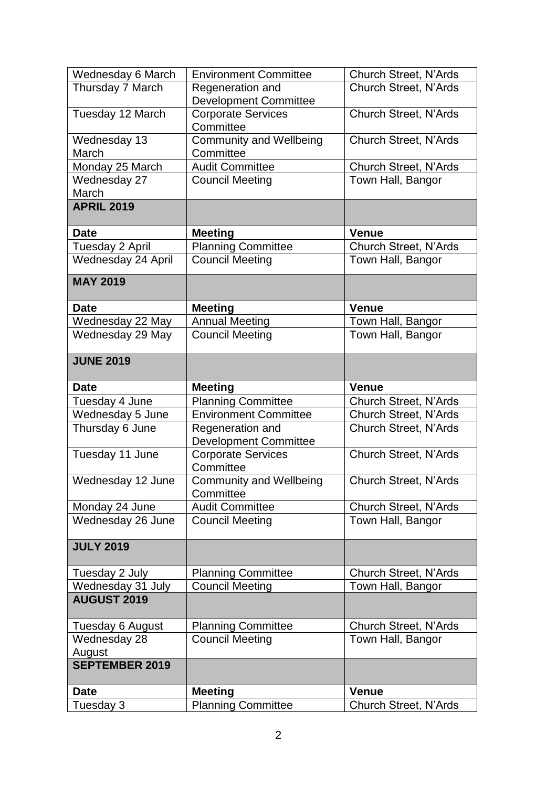| Wednesday 6 March     | <b>Environment Committee</b>                     | <b>Church Street, N'Ards</b> |
|-----------------------|--------------------------------------------------|------------------------------|
| Thursday 7 March      | Regeneration and                                 | <b>Church Street, N'Ards</b> |
|                       | <b>Development Committee</b>                     |                              |
| Tuesday 12 March      | <b>Corporate Services</b>                        | <b>Church Street, N'Ards</b> |
|                       | Committee                                        |                              |
| Wednesday 13          | <b>Community and Wellbeing</b>                   | Church Street, N'Ards        |
| March                 | Committee                                        |                              |
| Monday 25 March       | <b>Audit Committee</b>                           | <b>Church Street, N'Ards</b> |
| Wednesday 27<br>March | <b>Council Meeting</b>                           | Town Hall, Bangor            |
| <b>APRIL 2019</b>     |                                                  |                              |
| <b>Date</b>           | <b>Meeting</b>                                   | <b>Venue</b>                 |
| Tuesday 2 April       | <b>Planning Committee</b>                        | <b>Church Street, N'Ards</b> |
| Wednesday 24 April    | <b>Council Meeting</b>                           | Town Hall, Bangor            |
| <b>MAY 2019</b>       |                                                  |                              |
| <b>Date</b>           | <b>Meeting</b>                                   | <b>Venue</b>                 |
| Wednesday 22 May      | <b>Annual Meeting</b>                            | Town Hall, Bangor            |
| Wednesday 29 May      | <b>Council Meeting</b>                           | Town Hall, Bangor            |
| <b>JUNE 2019</b>      |                                                  |                              |
| <b>Date</b>           | <b>Meeting</b>                                   | <b>Venue</b>                 |
| Tuesday 4 June        | <b>Planning Committee</b>                        | <b>Church Street, N'Ards</b> |
| Wednesday 5 June      | <b>Environment Committee</b>                     | Church Street, N'Ards        |
| Thursday 6 June       | Regeneration and<br><b>Development Committee</b> | <b>Church Street, N'Ards</b> |
| Tuesday 11 June       | <b>Corporate Services</b><br>Committee           | <b>Church Street, N'Ards</b> |
| Wednesday 12 June     | <b>Community and Wellbeing</b><br>Committee      | <b>Church Street. N'Ards</b> |
| Monday 24 June        | <b>Audit Committee</b>                           | <b>Church Street, N'Ards</b> |
| Wednesday 26 June     | <b>Council Meeting</b>                           | Town Hall, Bangor            |
| <b>JULY 2019</b>      |                                                  |                              |
| Tuesday 2 July        | <b>Planning Committee</b>                        | <b>Church Street, N'Ards</b> |
| Wednesday 31 July     | <b>Council Meeting</b>                           | Town Hall, Bangor            |
| <b>AUGUST 2019</b>    |                                                  |                              |
| Tuesday 6 August      | <b>Planning Committee</b>                        | <b>Church Street, N'Ards</b> |
| Wednesday 28          | <b>Council Meeting</b>                           | Town Hall, Bangor            |
| August                |                                                  |                              |
| <b>SEPTEMBER 2019</b> |                                                  |                              |
| <b>Date</b>           | <b>Meeting</b>                                   | <b>Venue</b>                 |
| Tuesday 3             | <b>Planning Committee</b>                        | <b>Church Street, N'Ards</b> |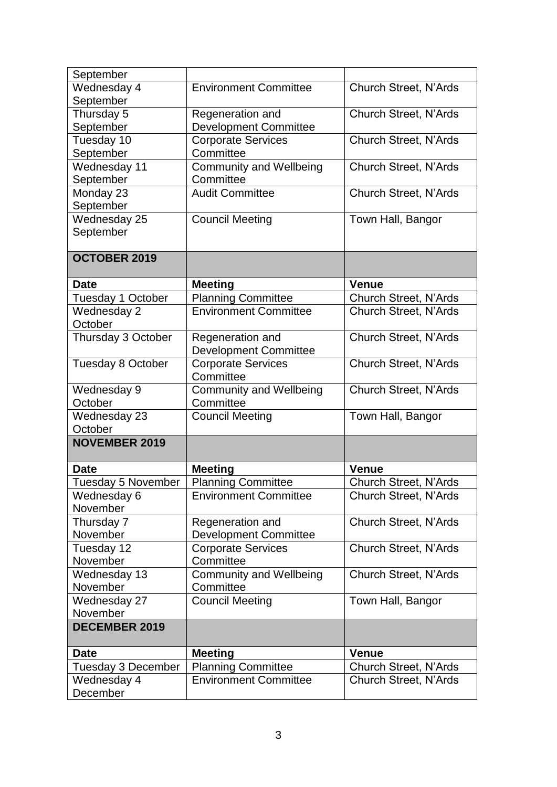| Wednesday 4<br><b>Environment Committee</b><br><b>Church Street, N'Ards</b><br>September<br>Thursday 5<br>Regeneration and<br><b>Church Street, N'Ards</b><br>September<br><b>Development Committee</b><br>Tuesday 10<br><b>Corporate Services</b><br><b>Church Street, N'Ards</b><br>September<br>Committee<br>Wednesday 11<br><b>Community and Wellbeing</b><br><b>Church Street, N'Ards</b><br>September<br>Committee<br><b>Audit Committee</b><br>Monday 23<br><b>Church Street, N'Ards</b><br>September<br>Wednesday 25<br><b>Council Meeting</b><br>Town Hall, Bangor<br>September<br><b>OCTOBER 2019</b><br><b>Meeting</b><br><b>Venue</b><br><b>Date</b><br><b>Planning Committee</b><br>Tuesday 1 October<br><b>Church Street, N'Ards</b><br><b>Environment Committee</b><br><b>Church Street, N'Ards</b><br>Wednesday 2<br>October<br>Regeneration and<br><b>Church Street, N'Ards</b><br>Thursday 3 October<br><b>Development Committee</b><br>Tuesday 8 October<br><b>Corporate Services</b><br><b>Church Street, N'Ards</b><br>Committee<br><b>Community and Wellbeing</b><br>Church Street, N'Ards<br>Wednesday 9<br>October<br>Committee<br>Wednesday 23<br><b>Council Meeting</b><br>Town Hall, Bangor<br>October<br><b>NOVEMBER 2019</b><br><b>Meeting</b><br><b>Date</b><br><b>Venue</b> |
|------------------------------------------------------------------------------------------------------------------------------------------------------------------------------------------------------------------------------------------------------------------------------------------------------------------------------------------------------------------------------------------------------------------------------------------------------------------------------------------------------------------------------------------------------------------------------------------------------------------------------------------------------------------------------------------------------------------------------------------------------------------------------------------------------------------------------------------------------------------------------------------------------------------------------------------------------------------------------------------------------------------------------------------------------------------------------------------------------------------------------------------------------------------------------------------------------------------------------------------------------------------------------------------------------------|
|                                                                                                                                                                                                                                                                                                                                                                                                                                                                                                                                                                                                                                                                                                                                                                                                                                                                                                                                                                                                                                                                                                                                                                                                                                                                                                            |
|                                                                                                                                                                                                                                                                                                                                                                                                                                                                                                                                                                                                                                                                                                                                                                                                                                                                                                                                                                                                                                                                                                                                                                                                                                                                                                            |
|                                                                                                                                                                                                                                                                                                                                                                                                                                                                                                                                                                                                                                                                                                                                                                                                                                                                                                                                                                                                                                                                                                                                                                                                                                                                                                            |
|                                                                                                                                                                                                                                                                                                                                                                                                                                                                                                                                                                                                                                                                                                                                                                                                                                                                                                                                                                                                                                                                                                                                                                                                                                                                                                            |
|                                                                                                                                                                                                                                                                                                                                                                                                                                                                                                                                                                                                                                                                                                                                                                                                                                                                                                                                                                                                                                                                                                                                                                                                                                                                                                            |
|                                                                                                                                                                                                                                                                                                                                                                                                                                                                                                                                                                                                                                                                                                                                                                                                                                                                                                                                                                                                                                                                                                                                                                                                                                                                                                            |
|                                                                                                                                                                                                                                                                                                                                                                                                                                                                                                                                                                                                                                                                                                                                                                                                                                                                                                                                                                                                                                                                                                                                                                                                                                                                                                            |
|                                                                                                                                                                                                                                                                                                                                                                                                                                                                                                                                                                                                                                                                                                                                                                                                                                                                                                                                                                                                                                                                                                                                                                                                                                                                                                            |
|                                                                                                                                                                                                                                                                                                                                                                                                                                                                                                                                                                                                                                                                                                                                                                                                                                                                                                                                                                                                                                                                                                                                                                                                                                                                                                            |
|                                                                                                                                                                                                                                                                                                                                                                                                                                                                                                                                                                                                                                                                                                                                                                                                                                                                                                                                                                                                                                                                                                                                                                                                                                                                                                            |
|                                                                                                                                                                                                                                                                                                                                                                                                                                                                                                                                                                                                                                                                                                                                                                                                                                                                                                                                                                                                                                                                                                                                                                                                                                                                                                            |
|                                                                                                                                                                                                                                                                                                                                                                                                                                                                                                                                                                                                                                                                                                                                                                                                                                                                                                                                                                                                                                                                                                                                                                                                                                                                                                            |
|                                                                                                                                                                                                                                                                                                                                                                                                                                                                                                                                                                                                                                                                                                                                                                                                                                                                                                                                                                                                                                                                                                                                                                                                                                                                                                            |
|                                                                                                                                                                                                                                                                                                                                                                                                                                                                                                                                                                                                                                                                                                                                                                                                                                                                                                                                                                                                                                                                                                                                                                                                                                                                                                            |
|                                                                                                                                                                                                                                                                                                                                                                                                                                                                                                                                                                                                                                                                                                                                                                                                                                                                                                                                                                                                                                                                                                                                                                                                                                                                                                            |
|                                                                                                                                                                                                                                                                                                                                                                                                                                                                                                                                                                                                                                                                                                                                                                                                                                                                                                                                                                                                                                                                                                                                                                                                                                                                                                            |
|                                                                                                                                                                                                                                                                                                                                                                                                                                                                                                                                                                                                                                                                                                                                                                                                                                                                                                                                                                                                                                                                                                                                                                                                                                                                                                            |
|                                                                                                                                                                                                                                                                                                                                                                                                                                                                                                                                                                                                                                                                                                                                                                                                                                                                                                                                                                                                                                                                                                                                                                                                                                                                                                            |
|                                                                                                                                                                                                                                                                                                                                                                                                                                                                                                                                                                                                                                                                                                                                                                                                                                                                                                                                                                                                                                                                                                                                                                                                                                                                                                            |
|                                                                                                                                                                                                                                                                                                                                                                                                                                                                                                                                                                                                                                                                                                                                                                                                                                                                                                                                                                                                                                                                                                                                                                                                                                                                                                            |
|                                                                                                                                                                                                                                                                                                                                                                                                                                                                                                                                                                                                                                                                                                                                                                                                                                                                                                                                                                                                                                                                                                                                                                                                                                                                                                            |
|                                                                                                                                                                                                                                                                                                                                                                                                                                                                                                                                                                                                                                                                                                                                                                                                                                                                                                                                                                                                                                                                                                                                                                                                                                                                                                            |
|                                                                                                                                                                                                                                                                                                                                                                                                                                                                                                                                                                                                                                                                                                                                                                                                                                                                                                                                                                                                                                                                                                                                                                                                                                                                                                            |
|                                                                                                                                                                                                                                                                                                                                                                                                                                                                                                                                                                                                                                                                                                                                                                                                                                                                                                                                                                                                                                                                                                                                                                                                                                                                                                            |
|                                                                                                                                                                                                                                                                                                                                                                                                                                                                                                                                                                                                                                                                                                                                                                                                                                                                                                                                                                                                                                                                                                                                                                                                                                                                                                            |
|                                                                                                                                                                                                                                                                                                                                                                                                                                                                                                                                                                                                                                                                                                                                                                                                                                                                                                                                                                                                                                                                                                                                                                                                                                                                                                            |
|                                                                                                                                                                                                                                                                                                                                                                                                                                                                                                                                                                                                                                                                                                                                                                                                                                                                                                                                                                                                                                                                                                                                                                                                                                                                                                            |
|                                                                                                                                                                                                                                                                                                                                                                                                                                                                                                                                                                                                                                                                                                                                                                                                                                                                                                                                                                                                                                                                                                                                                                                                                                                                                                            |
| <b>Tuesday 5 November</b><br><b>Planning Committee</b><br><b>Church Street, N'Ards</b>                                                                                                                                                                                                                                                                                                                                                                                                                                                                                                                                                                                                                                                                                                                                                                                                                                                                                                                                                                                                                                                                                                                                                                                                                     |
| <b>Environment Committee</b><br>Wednesday 6<br><b>Church Street, N'Ards</b>                                                                                                                                                                                                                                                                                                                                                                                                                                                                                                                                                                                                                                                                                                                                                                                                                                                                                                                                                                                                                                                                                                                                                                                                                                |
| November                                                                                                                                                                                                                                                                                                                                                                                                                                                                                                                                                                                                                                                                                                                                                                                                                                                                                                                                                                                                                                                                                                                                                                                                                                                                                                   |
| Thursday 7<br>Regeneration and<br>Church Street, N'Ards                                                                                                                                                                                                                                                                                                                                                                                                                                                                                                                                                                                                                                                                                                                                                                                                                                                                                                                                                                                                                                                                                                                                                                                                                                                    |
| November<br><b>Development Committee</b>                                                                                                                                                                                                                                                                                                                                                                                                                                                                                                                                                                                                                                                                                                                                                                                                                                                                                                                                                                                                                                                                                                                                                                                                                                                                   |
| <b>Church Street, N'Ards</b><br>Tuesday 12<br><b>Corporate Services</b>                                                                                                                                                                                                                                                                                                                                                                                                                                                                                                                                                                                                                                                                                                                                                                                                                                                                                                                                                                                                                                                                                                                                                                                                                                    |
| Committee<br>November                                                                                                                                                                                                                                                                                                                                                                                                                                                                                                                                                                                                                                                                                                                                                                                                                                                                                                                                                                                                                                                                                                                                                                                                                                                                                      |
| Wednesday 13<br><b>Community and Wellbeing</b><br><b>Church Street, N'Ards</b>                                                                                                                                                                                                                                                                                                                                                                                                                                                                                                                                                                                                                                                                                                                                                                                                                                                                                                                                                                                                                                                                                                                                                                                                                             |
| November<br>Committee                                                                                                                                                                                                                                                                                                                                                                                                                                                                                                                                                                                                                                                                                                                                                                                                                                                                                                                                                                                                                                                                                                                                                                                                                                                                                      |
| Wednesday 27<br><b>Council Meeting</b><br>Town Hall, Bangor                                                                                                                                                                                                                                                                                                                                                                                                                                                                                                                                                                                                                                                                                                                                                                                                                                                                                                                                                                                                                                                                                                                                                                                                                                                |
| November                                                                                                                                                                                                                                                                                                                                                                                                                                                                                                                                                                                                                                                                                                                                                                                                                                                                                                                                                                                                                                                                                                                                                                                                                                                                                                   |
| <b>DECEMBER 2019</b>                                                                                                                                                                                                                                                                                                                                                                                                                                                                                                                                                                                                                                                                                                                                                                                                                                                                                                                                                                                                                                                                                                                                                                                                                                                                                       |
| <b>Meeting</b><br><b>Venue</b><br><b>Date</b>                                                                                                                                                                                                                                                                                                                                                                                                                                                                                                                                                                                                                                                                                                                                                                                                                                                                                                                                                                                                                                                                                                                                                                                                                                                              |
| <b>Planning Committee</b><br><b>Tuesday 3 December</b><br>Church Street, N'Ards                                                                                                                                                                                                                                                                                                                                                                                                                                                                                                                                                                                                                                                                                                                                                                                                                                                                                                                                                                                                                                                                                                                                                                                                                            |
| Wednesday 4<br><b>Environment Committee</b><br>Church Street, N'Ards                                                                                                                                                                                                                                                                                                                                                                                                                                                                                                                                                                                                                                                                                                                                                                                                                                                                                                                                                                                                                                                                                                                                                                                                                                       |
| December                                                                                                                                                                                                                                                                                                                                                                                                                                                                                                                                                                                                                                                                                                                                                                                                                                                                                                                                                                                                                                                                                                                                                                                                                                                                                                   |